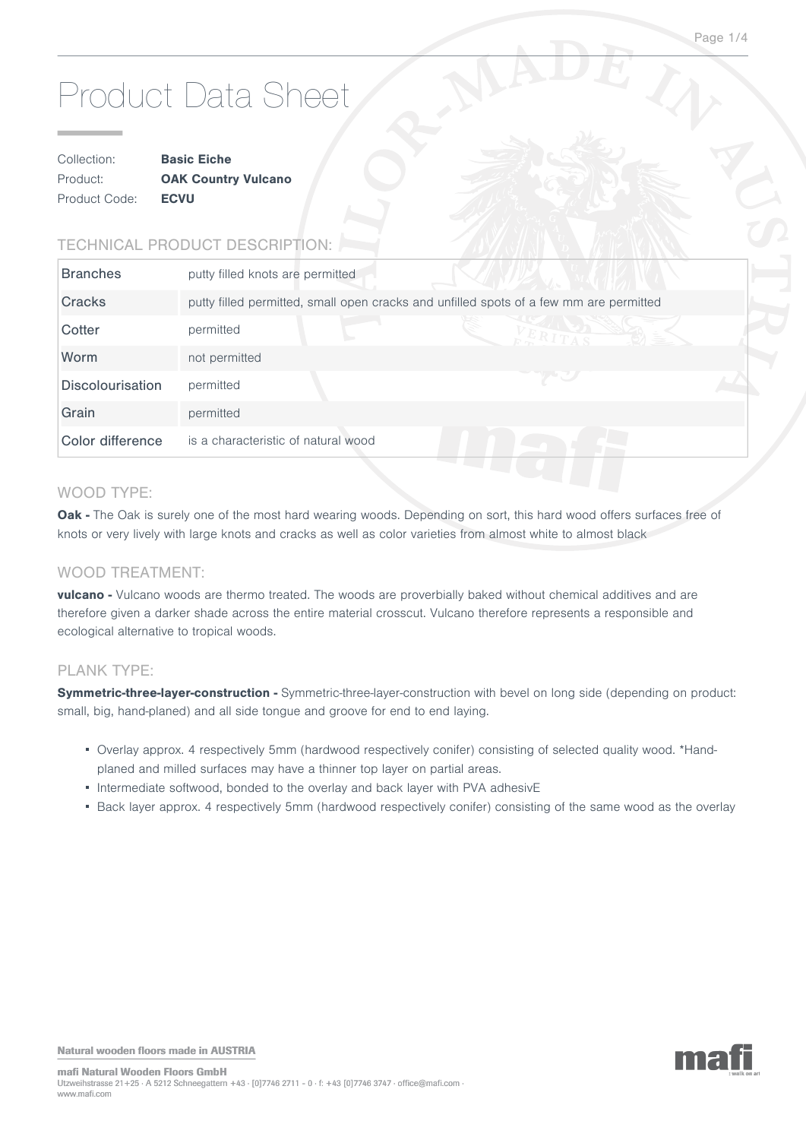# Product Data Sheet

| Collection:   | <b>Basic Eiche</b>         |  |
|---------------|----------------------------|--|
| Product:      | <b>OAK Country Vulcano</b> |  |
| Product Code: | <b>ECVU</b>                |  |

# TECHNICAL PRODUCT DESCRIPTION:

| <b>Branches</b><br>putty filled knots are permitted                                              |  |
|--------------------------------------------------------------------------------------------------|--|
| Cracks<br>putty filled permitted, small open cracks and unfilled spots of a few mm are permitted |  |
| Cotter<br>permitted                                                                              |  |
| Worm<br>not permitted                                                                            |  |
| <b>Discolourisation</b><br>permitted                                                             |  |
| Grain<br>permitted                                                                               |  |
| Color difference<br>is a characteristic of natural wood                                          |  |

## WOOD TYPE:

**Oak -** The Oak is surely one of the most hard wearing woods. Depending on sort, this hard wood offers surfaces free of knots or very lively with large knots and cracks as well as color varieties from almost white to almost black

#### WOOD TREATMENT:

**vulcano -** Vulcano woods are thermo treated. The woods are proverbially baked without chemical additives and are therefore given a darker shade across the entire material crosscut. Vulcano therefore represents a responsible and ecological alternative to tropical woods.

#### PLANK TYPE:

Symmetric-three-layer-construction - Symmetric-three-layer-construction with bevel on long side (depending on product: small, big, hand-planed) and all side tongue and groove for end to end laying.

- Overlay approx. 4 respectively 5mm (hardwood respectively conifer) consisting of selected quality wood. \*Handplaned and milled surfaces may have a thinner top layer on partial areas.
- Intermediate softwood, bonded to the overlay and back layer with PVA adhesivE
- Back layer approx. 4 respectively 5mm (hardwood respectively conifer) consisting of the same wood as the overlay

Natural wooden floors made in AUSTRIA

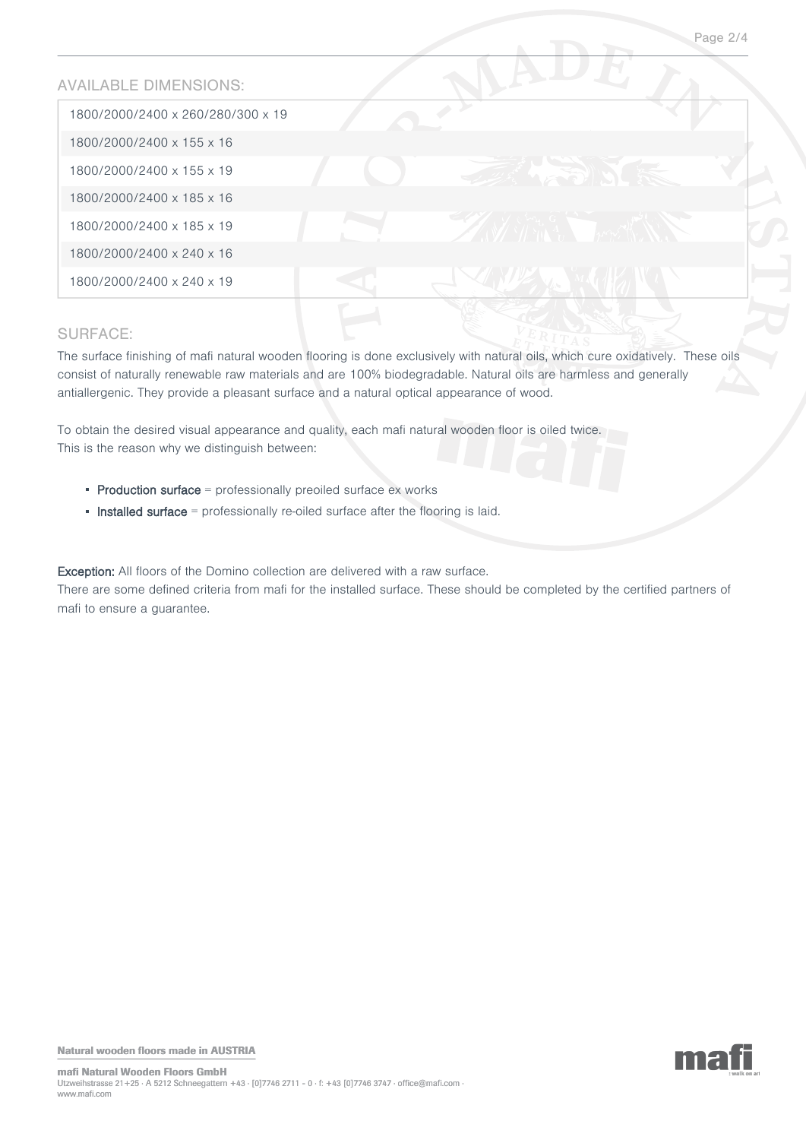## AVAILABLE DIMENSIONS:

| 1800/2000/2400 x 260/280/300 x 19 |  |
|-----------------------------------|--|
| 1800/2000/2400 x 155 x 16         |  |
| 1800/2000/2400 x 155 x 19         |  |
| 1800/2000/2400 x 185 x 16         |  |
| 1800/2000/2400 x 185 x 19         |  |
| 1800/2000/2400 x 240 x 16         |  |
| 1800/2000/2400 x 240 x 19         |  |

# SURFACE:

The surface finishing of mafi natural wooden flooring is done exclusively with natural oils, which cure oxidatively. These oils consist of naturally renewable raw materials and are 100% biodegradable. Natural oils are harmless and generally antiallergenic. They provide a pleasant surface and a natural optical appearance of wood.

To obtain the desired visual appearance and quality, each mafi natural wooden floor is oiled twice. This is the reason why we distinguish between:

- $\blacksquare$  Production surface  $\blacksquare$  professionally preoiled surface ex works
- **Installed surface** = professionally re-oiled surface after the flooring is laid.

Exception: All floors of the Domino collection are delivered with a raw surface. There are some defined criteria from mafi for the installed surface. These should be completed by the certified partners of mafi to ensure a guarantee.

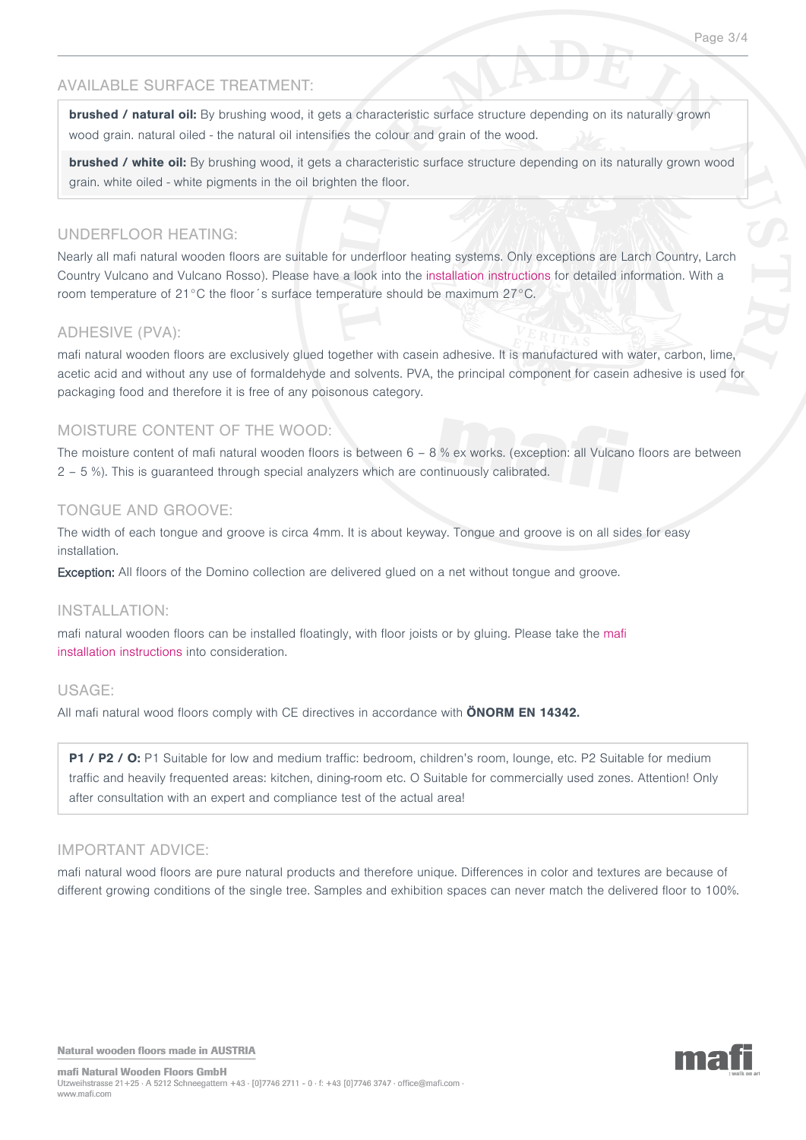## AVAILABLE SURFACE TREATMENT:

**brushed / natural oil:** By brushing wood, it gets a characteristic surface structure depending on its naturally grown wood grain. natural oiled - the natural oil intensifies the colour and grain of the wood.

**brushed / white oil:** By brushing wood, it gets a characteristic surface structure depending on its naturally grown wood grain. white oiled - white pigments in the oil brighten the floor.

#### UNDERFLOOR HEATING:

Nearly all mafi natural wooden floors are suitable for underfloor heating systems. Only exceptions are Larch Country, Larch Country Vulcano and Vulcano Rosso). Please have a look into the [installation instructions](http://www.grafikartelier.com/MAFI_INSTALL_VERLEGEFIBEL_2012.pdf) for detailed information. With a room temperature of 21°C the floor´s surface temperature should be maximum 27°C.

#### ADHESIVE (PVA):

mafi natural wooden floors are exclusively glued together with casein adhesive. It is manufactured with water, carbon, lime, acetic acid and without any use of formaldehyde and solvents. PVA, the principal component for casein adhesive is used for packaging food and therefore it is free of any poisonous category.

#### MOISTURE CONTENT OF THE WOOD:

The moisture content of mafi natural wooden floors is between  $6 - 8$  % ex works. (exception: all Vulcano floors are between 2 – 5 %). This is guaranteed through special analyzers which are continuously calibrated.

#### TONGUE AND GROOVE:

The width of each tongue and groove is circa 4mm. It is about keyway. Tongue and groove is on all sides for easy installation.

Exception: All floors of the Domino collection are delivered glued on a net without tongue and groove.

#### INSTALLATION:

mafi natural wooden floors can be installed floatingly, with floor joists or by gluing. Please take the [mafi](http://www.grafikartelier.com/MAFI_INSTALL_VERLEGEFIBEL_2012.pdf) [installation instructions](http://www.grafikartelier.com/MAFI_INSTALL_VERLEGEFIBEL_2012.pdf) into consideration.

#### USAGE:

All mafi natural wood floors comply with CE directives in accordance with **ÖNORM EN 14342.**

**P1 / P2 / O:** P1 Suitable for low and medium traffic: bedroom, children's room, lounge, etc. P2 Suitable for medium traffic and heavily frequented areas: kitchen, dining-room etc. O Suitable for commercially used zones. Attention! Only after consultation with an expert and compliance test of the actual area!

#### IMPORTANT ADVICE:

mafi natural wood floors are pure natural products and therefore unique. Differences in color and textures are because of different growing conditions of the single tree. Samples and exhibition spaces can never match the delivered floor to 100%.